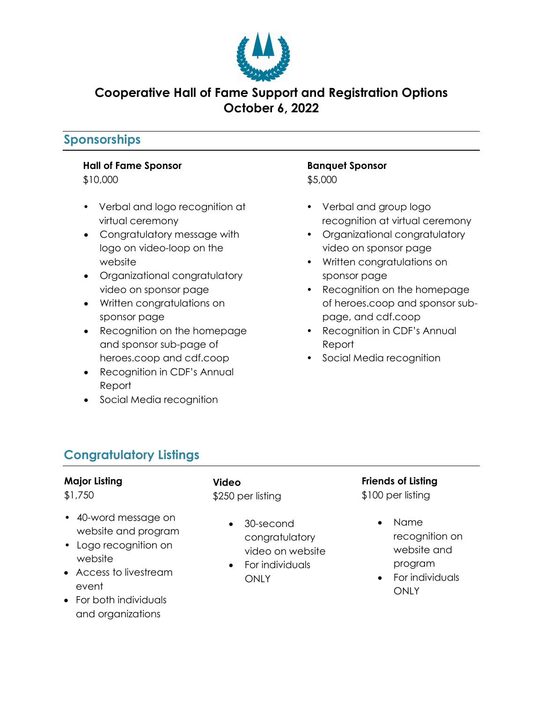

## **Cooperative Hall of Fame Support and Registration Options October 6, 2022**

## **Sponsorships**

#### **Hall of Fame Sponsor**

\$10,000

- Verbal and logo recognition at virtual ceremony
- Congratulatory message with logo on video-loop on the website
- Organizational congratulatory video on sponsor page
- Written congratulations on sponsor page
- Recognition on the homepage and sponsor sub-page of heroes.coop and cdf.coop
- Recognition in CDF's Annual Report
- Social Media recognition

#### **Banquet Sponsor** \$5,000

- Verbal and group logo recognition at virtual ceremony
- Organizational congratulatory video on sponsor page
- Written congratulations on sponsor page
- Recognition on the homepage of heroes.coop and sponsor subpage, and cdf.coop
- Recognition in CDF's Annual Report
- Social Media recognition

# **Congratulatory Listings**

#### **Major Listing**

\$1,750

- 40-word message on website and program
- Logo recognition on website
- Access to livestream event
- For both individuals and organizations

**Video** \$250 per listing

- 30-second congratulatory video on website
- For individuals **ONLY**

## **Friends of Listing**

\$100 per listing

- Name recognition on website and program
- For individuals **ONLY**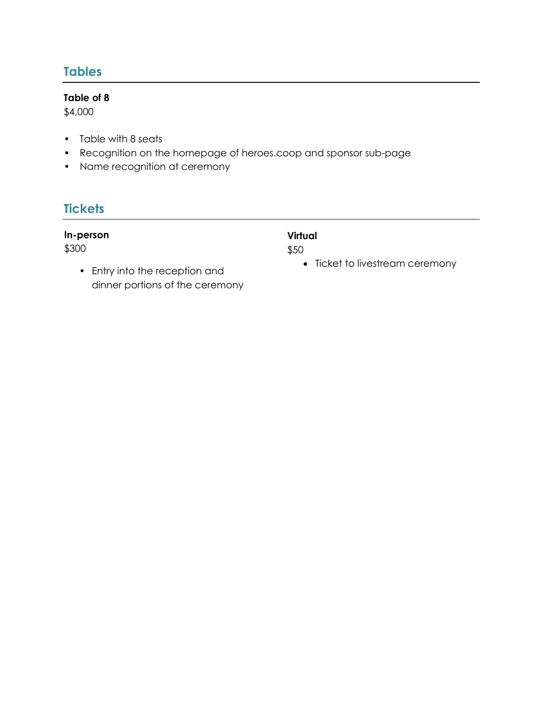## **Tables**

#### **Table of 8**

\$4,000

- Table with 8 seats
- Recognition on the homepage of heroes.coop and sponsor sub-page
- Name recognition at ceremony

## **Tickets**

#### **In-person**

\$300

• Entry into the reception and dinner portions of the ceremony

#### h **Virtual**

\$50

• Ticket to livestream ceremony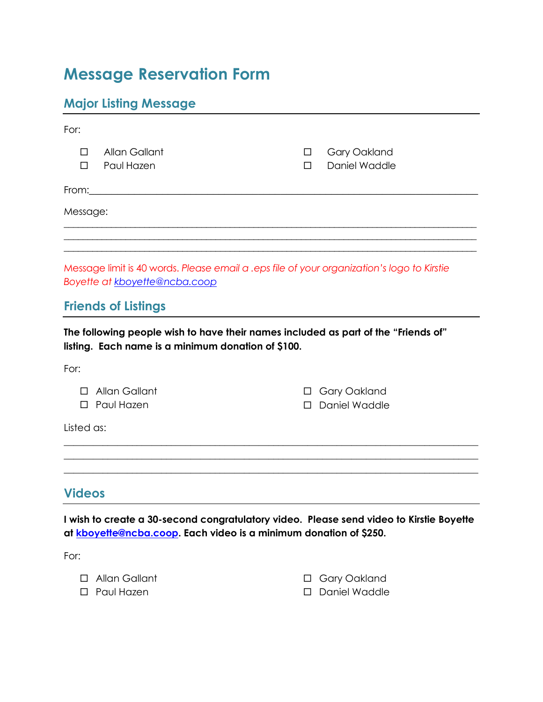# **Message Reservation Form**

# **Major Listing Message**

| For:                                                                                                                                     |                                                                                                                                                                                                                                |                  |                                      |  |  |
|------------------------------------------------------------------------------------------------------------------------------------------|--------------------------------------------------------------------------------------------------------------------------------------------------------------------------------------------------------------------------------|------------------|--------------------------------------|--|--|
| $\Box$<br>□                                                                                                                              | Allan Gallant<br>Paul Hazen                                                                                                                                                                                                    | $\Box$<br>$\Box$ | <b>Gary Oakland</b><br>Daniel Waddle |  |  |
|                                                                                                                                          | From: Executive Contract of the Contract of the Contract of the Contract of the Contract of the Contract of the Contract of the Contract of the Contract of the Contract of the Contract of the Contract of the Contract of th |                  |                                      |  |  |
| Message:                                                                                                                                 |                                                                                                                                                                                                                                |                  |                                      |  |  |
|                                                                                                                                          |                                                                                                                                                                                                                                |                  |                                      |  |  |
| Message limit is 40 words. Please email a .eps file of your organization's logo to Kirstie<br>Boyette at kboyette@ncba.coop              |                                                                                                                                                                                                                                |                  |                                      |  |  |
|                                                                                                                                          | <b>Friends of Listings</b>                                                                                                                                                                                                     |                  |                                      |  |  |
| The following people wish to have their names included as part of the "Friends of"<br>listing. Each name is a minimum donation of \$100. |                                                                                                                                                                                                                                |                  |                                      |  |  |
| For:                                                                                                                                     |                                                                                                                                                                                                                                |                  |                                      |  |  |
| П                                                                                                                                        | Allan Gallant<br>□ Paul Hazen                                                                                                                                                                                                  | П<br>П           | Gary Oakland<br>Daniel Waddle        |  |  |
| Listed as:                                                                                                                               |                                                                                                                                                                                                                                |                  |                                      |  |  |
|                                                                                                                                          |                                                                                                                                                                                                                                |                  |                                      |  |  |
| <b>Videos</b>                                                                                                                            |                                                                                                                                                                                                                                |                  |                                      |  |  |
|                                                                                                                                          | I wish to create a 30-second congratulatory video. Please send video to Kirstie Boyette<br>at kboyette@ncba.coop. Each video is a minimum donation of \$250.                                                                   |                  |                                      |  |  |

For:

 $\Box$  $\Box$ 

| Allan Gallant | □ Gary Oakland  |
|---------------|-----------------|
| Paul Hazen    | □ Daniel Waddle |